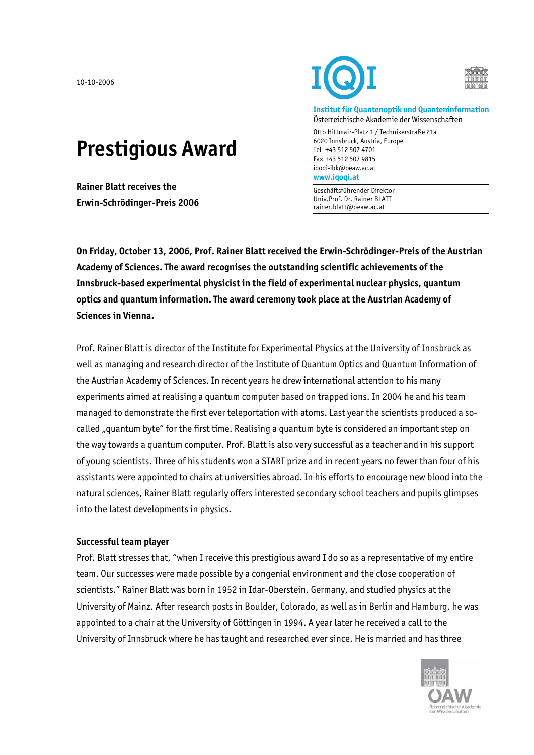10-10-2006

## **Prestigious Award**

**Rainer Blatt receives the Erwin-Schrödinger-Preis 2006** 



**Institut für Quantenoptik und Quanteninformation**  Österreichische Akademie der Wissenschaften

Otto Hittmair-Platz 1 / Technikerstraße 21a 6020 Innsbruck, Austria, Europe Tel +43 512 507 4701 Fax +43 512 507 9815 iqoqi-ibk@oeaw.ac.at **www.iqoqi.at** 

Geschäftsführender Direktor Univ.Prof. Dr. Rainer BLATT rainer.blatt@oeaw.ac.at

**On Friday, October 13, 2006, Prof. Rainer Blatt received the Erwin-Schrödinger-Preis of the Austrian Academy of Sciences. The award recognises the outstanding scientific achievements of the Innsbruck-based experimental physicist in the field of experimental nuclear physics, quantum optics and quantum information. The award ceremony took place at the Austrian Academy of Sciences in Vienna.** 

Prof. Rainer Blatt is director of the Institute for Experimental Physics at the University of Innsbruck as well as managing and research director of the Institute of Quantum Optics and Quantum Information of the Austrian Academy of Sciences. In recent years he drew international attention to his many experiments aimed at realising a quantum computer based on trapped ions. In 2004 he and his team managed to demonstrate the first ever teleportation with atoms. Last year the scientists produced a socalled "quantum byte" for the first time. Realising a quantum byte is considered an important step on the way towards a quantum computer. Prof. Blatt is also very successful as a teacher and in his support of young scientists. Three of his students won a START prize and in recent years no fewer than four of his assistants were appointed to chairs at universities abroad. In his efforts to encourage new blood into the natural sciences, Rainer Blatt regularly offers interested secondary school teachers and pupils glimpses into the latest developments in physics.

## **Successful team player**

Prof. Blatt stresses that, "when I receive this prestigious award I do so as a representative of my entire team. Our successes were made possible by a congenial environment and the close cooperation of scientists." Rainer Blatt was born in 1952 in Idar-Oberstein, Germany, and studied physics at the University of Mainz. After research posts in Boulder, Colorado, as well as in Berlin and Hamburg, he was appointed to a chair at the University of Göttingen in 1994. A year later he received a call to the University of Innsbruck where he has taught and researched ever since. He is married and has three